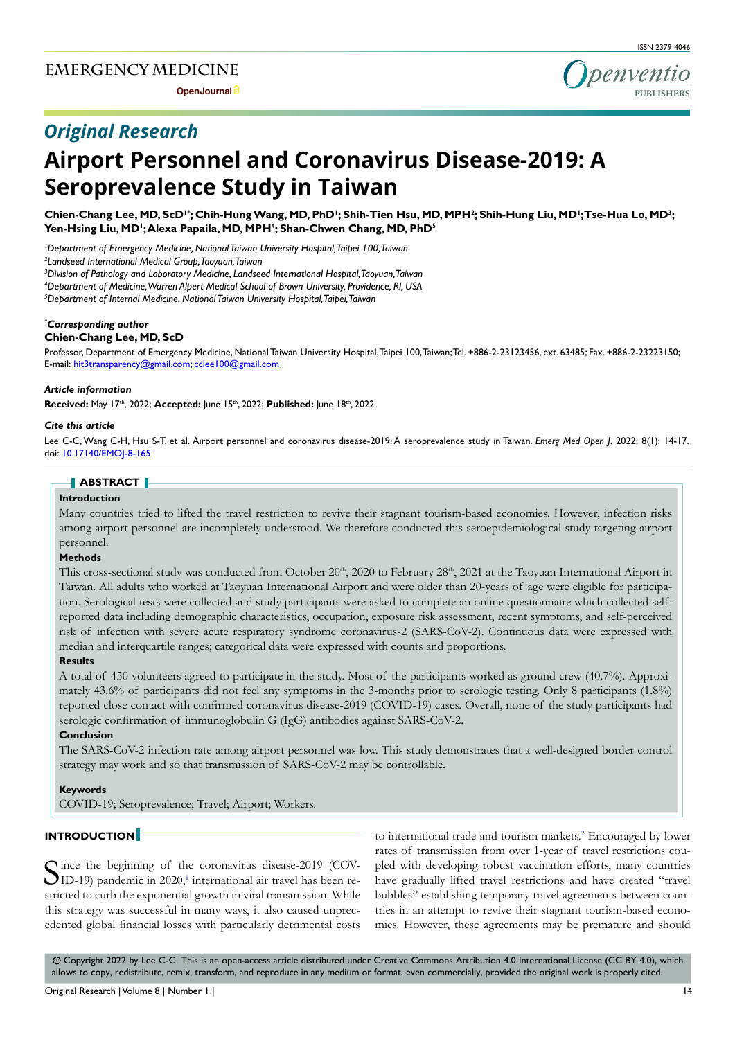**Open Journal**





# *Original Research*

# **Airport Personnel and Coronavirus Disease-2019: A Seroprevalence Study in Taiwan**

Chien-Chang Lee, MD, ScD<sup>1+</sup>; Chih-Hung Wang, MD, PhD<sup>1</sup>; Shih-Tien Hsu, MD, MPH<sup>2</sup>; Shih-Hung Liu, MD<sup>1</sup>;Tse-Hua Lo, MD<sup>3</sup>; **Yen-Hsing Liu, MD1 ; Alexa Papaila, MD, MPH4 ; Shan-Chwen Chang, MD, PhD5**

*1 Department of Emergency Medicine, National Taiwan University Hospital, Taipei 100, Taiwan*

*2 Landseed International Medical Group, Taoyuan, Taiwan*

*3 Division of Pathology and Laboratory Medicine, Landseed International Hospital, Taoyuan, Taiwan*

*4 Department of Medicine, Warren Alpert Medical School of Brown University, Providence, RI, USA*

*5 Department of Internal Medicine, National Taiwan University Hospital, Taipei, Taiwan*

# *\* Corresponding author*

# **Chien-Chang Lee, MD, ScD**

Professor, Department of Emergency Medicine, National Taiwan University Hospital, Taipei 100, Taiwan; Tel. +886-2-23123456, ext. 63485; Fax. +886-2-23223150; E-mail: hit3transparency@gmail.com; cclee100@gmail.com

#### *Article information*

**Received:** May 17th, 2022; **Accepted:** June 15th, 2022; **Published:** June 18th, 2022

#### *Cite this article*

Lee C-C, Wang C-H, Hsu S-T, et al. Airport personnel and coronavirus disease-2019: A seroprevalence study in Taiwan. *Emerg Med Open J*. 2022; 8(1): 14-17. doi: [10.17140/EMOJ-8-165](http://dx.doi.org/10.17140/EMOJ-8-165)

#### **ABSTRACT**

#### **Introduction**

Many countries tried to lifted the travel restriction to revive their stagnant tourism-based economies. However, infection risks among airport personnel are incompletely understood. We therefore conducted this seroepidemiological study targeting airport personnel.

#### **Methods**

This cross-sectional study was conducted from October 20<sup>th</sup>, 2020 to February 28<sup>th</sup>, 2021 at the Taoyuan International Airport in Taiwan. All adults who worked at Taoyuan International Airport and were older than 20-years of age were eligible for participation. Serological tests were collected and study participants were asked to complete an online questionnaire which collected selfreported data including demographic characteristics, occupation, exposure risk assessment, recent symptoms, and self-perceived risk of infection with severe acute respiratory syndrome coronavirus-2 (SARS-CoV-2). Continuous data were expressed with median and interquartile ranges; categorical data were expressed with counts and proportions.

#### **Results**

A total of 450 volunteers agreed to participate in the study. Most of the participants worked as ground crew (40.7%). Approximately 43.6% of participants did not feel any symptoms in the 3-months prior to serologic testing. Only 8 participants (1.8%) reported close contact with confirmed coronavirus disease-2019 (COVID-19) cases. Overall, none of the study participants had serologic confirmation of immunoglobulin G (IgG) antibodies against SARS-CoV-2.

# **Conclusion**

The SARS-CoV-2 infection rate among airport personnel was low. This study demonstrates that a well-designed border control strategy may work and so that transmission of SARS-CoV-2 may be controllable.

#### **Keywords**

COVID-19; Seroprevalence; Travel; Airport; Workers.

# **INTRODUCTION**

Since the beginning of the coronavirus disease-2019 (COV-ID-19) pandemic in 2020,<sup>1</sup> international air travel has been restricted to curb the exponential growth in viral transmission. While this strategy was successful in many ways, it also caused unprecedented global financial losses with particularly detrimental costs

to international trade and tourism markets.<sup>[2](#page-3-0)</sup> Encouraged by lower rates of transmission from over 1-year of travel restrictions coupled with developing robust vaccination efforts, many countries have gradually lifted travel restrictions and have created "travel bubbles" establishing temporary travel agreements between countries in an attempt to revive their stagnant tourism-based economies. However, these agreements may be premature and should

cc Copyright 2022 by Lee C-C. This is an open-access article distributed under Creative Commons Attribution 4.0 International License ([CC BY 4.0\)](https://creativecommons.org/licenses/by/4.0/), which allows to copy, redistribute, remix, transform, and reproduce in any medium or format, even commercially, provided the original work is properly cited.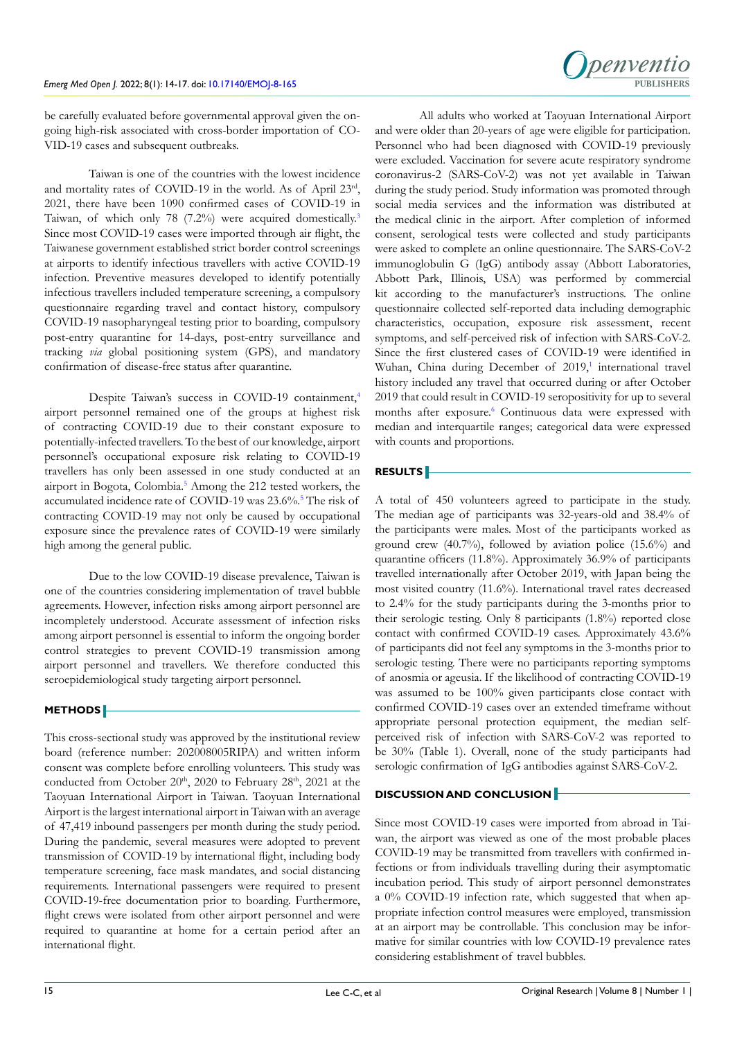

be carefully evaluated before governmental approval given the ongoing high-risk associated with cross-border importation of CO-VID-19 cases and subsequent outbreaks.

Taiwan is one of the countries with the lowest incidence and mortality rates of COVID-19 in the world. As of April 23rd, 2021, there have been 1090 confirmed cases of COVID-19 in Taiwan, of which only 78 (7.2%) were acquired domestically[.3](#page-3-1)  Since most COVID-19 cases were imported through air flight, the Taiwanese government established strict border control screenings at airports to identify infectious travellers with active COVID-19 infection. Preventive measures developed to identify potentially infectious travellers included temperature screening, a compulsory questionnaire regarding travel and contact history, compulsory COVID-19 nasopharyngeal testing prior to boarding, compulsory post-entry quarantine for 14-days, post-entry surveillance and tracking *via* global positioning system (GPS), and mandatory confirmation of disease-free status after quarantine.

Despite Taiwan's success in COVID-19 containment,<sup>4</sup> airport personnel remained one of the groups at highest risk of contracting COVID-19 due to their constant exposure to potentially-infected travellers. To the best of our knowledge, airport personnel's occupational exposure risk relating to COVID-19 travellers has only been assessed in one study conducted at an airport in Bogota, Colombia.<sup>[5](#page-3-3)</sup> Among the 212 tested workers, the accumulated incidence rate of COVID-19 was 23.6%.<sup>[5](#page-3-3)</sup> The risk of contracting COVID-19 may not only be caused by occupational exposure since the prevalence rates of COVID-19 were similarly high among the general public.

Due to the low COVID-19 disease prevalence, Taiwan is one of the countries considering implementation of travel bubble agreements. However, infection risks among airport personnel are incompletely understood. Accurate assessment of infection risks among airport personnel is essential to inform the ongoing border control strategies to prevent COVID-19 transmission among airport personnel and travellers. We therefore conducted this seroepidemiological study targeting airport personnel.

# **METHODS**

This cross-sectional study was approved by the institutional review board (reference number: 202008005RIPA) and written inform consent was complete before enrolling volunteers. This study was conducted from October 20<sup>th</sup>, 2020 to February 28<sup>th</sup>, 2021 at the Taoyuan International Airport in Taiwan. Taoyuan International Airport is the largest international airport in Taiwan with an average of 47,419 inbound passengers per month during the study period. During the pandemic, several measures were adopted to prevent transmission of COVID-19 by international flight, including body temperature screening, face mask mandates, and social distancing requirements. International passengers were required to present COVID-19-free documentation prior to boarding. Furthermore, flight crews were isolated from other airport personnel and were required to quarantine at home for a certain period after an international flight.

All adults who worked at Taoyuan International Airport and were older than 20-years of age were eligible for participation. Personnel who had been diagnosed with COVID-19 previously were excluded. Vaccination for severe acute respiratory syndrome coronavirus-2 (SARS-CoV-2) was not yet available in Taiwan during the study period. Study information was promoted through social media services and the information was distributed at the medical clinic in the airport. After completion of informed consent, serological tests were collected and study participants were asked to complete an online questionnaire. The SARS-CoV-2 immunoglobulin G (IgG) antibody assay (Abbott Laboratories, Abbott Park, Illinois, USA) was performed by commercial kit according to the manufacturer's instructions. The online questionnaire collected self-reported data including demographic characteristics, occupation, exposure risk assessment, recent symptoms, and self-perceived risk of infection with SARS-CoV-2. Since the first clustered cases of COVID-19 were identified in Wuhan, China during December of 2019,<sup>1</sup> international travel history included any travel that occurred during or after October 2019 that could result in COVID-19 seropositivity for up to several months after exposure.<sup>[6](#page-3-4)</sup> Continuous data were expressed with median and interquartile ranges; categorical data were expressed with counts and proportions.

# **RESULTS**

A total of 450 volunteers agreed to participate in the study. The median age of participants was 32-years-old and 38.4% of the participants were males. Most of the participants worked as ground crew (40.7%), followed by aviation police (15.6%) and quarantine officers (11.8%). Approximately 36.9% of participants travelled internationally after October 2019, with Japan being the most visited country (11.6%). International travel rates decreased to 2.4% for the study participants during the 3-months prior to their serologic testing. Only 8 participants (1.8%) reported close contact with confirmed COVID-19 cases. Approximately 43.6% of participants did not feel any symptoms in the 3-months prior to serologic testing. There were no participants reporting symptoms of anosmia or ageusia. If the likelihood of contracting COVID-19 was assumed to be 100% given participants close contact with confirmed COVID-19 cases over an extended timeframe without appropriate personal protection equipment, the median selfperceived risk of infection with SARS-CoV-2 was reported to be 30% (Table 1). Overall, none of the study participants had serologic confirmation of IgG antibodies against SARS-CoV-2.

# **DISCUSSION AND CONCLUSION**

Since most COVID-19 cases were imported from abroad in Taiwan, the airport was viewed as one of the most probable places COVID-19 may be transmitted from travellers with confirmed infections or from individuals travelling during their asymptomatic incubation period. This study of airport personnel demonstrates a 0% COVID-19 infection rate, which suggested that when appropriate infection control measures were employed, transmission at an airport may be controllable. This conclusion may be informative for similar countries with low COVID-19 prevalence rates considering establishment of travel bubbles.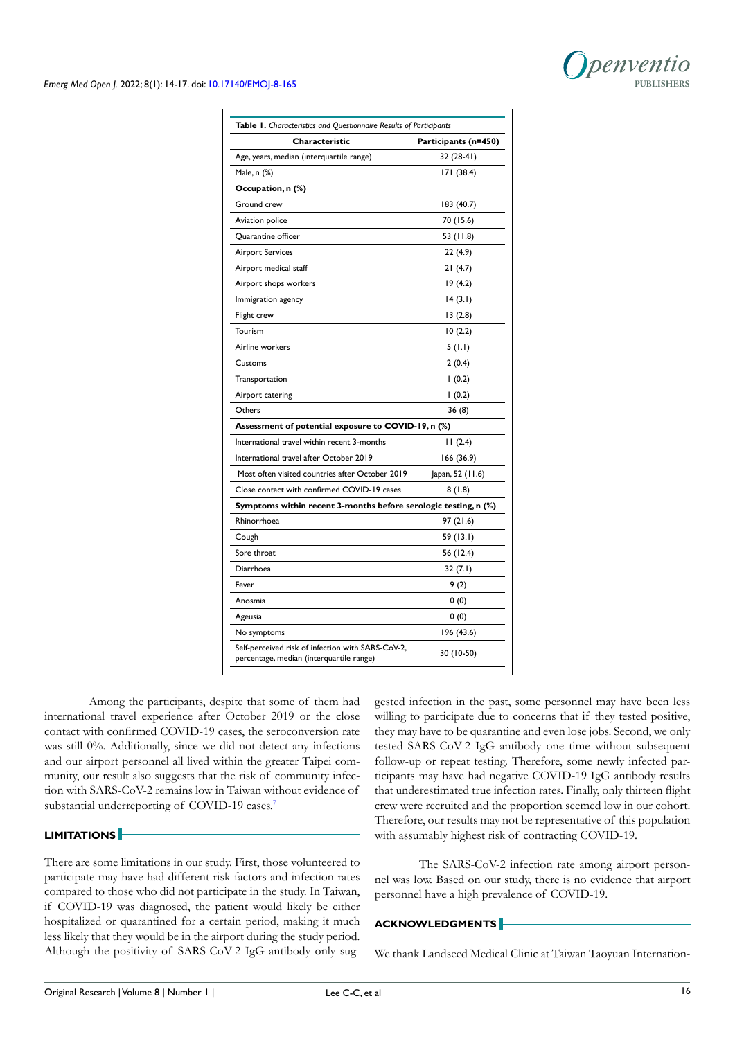

| Table 1. Characteristics and Questionnaire Results of Participants<br>Characteristic          |                      |
|-----------------------------------------------------------------------------------------------|----------------------|
|                                                                                               | Participants (n=450) |
| Age, years, median (interquartile range)                                                      | 32 (28-41)           |
| Male, n (%)                                                                                   | 171 (38.4)           |
| Occupation, n (%)                                                                             |                      |
| Ground crew                                                                                   | 183 (40.7)           |
| Aviation police                                                                               | 70 (15.6)            |
| Quarantine officer                                                                            | 53 (11.8)            |
| Airport Services                                                                              | 22 (4.9)             |
| Airport medical staff                                                                         | 21 (4.7)             |
| Airport shops workers                                                                         | 19 (4.2)             |
| Immigration agency                                                                            | 14 (3.1)             |
| Flight crew                                                                                   | 13(2.8)              |
| Tourism                                                                                       | 10(2.2)              |
| Airline workers                                                                               | 5(1.1)               |
| Customs                                                                                       | 2(0.4)               |
| Transportation                                                                                | 1(0.2)               |
| Airport catering                                                                              | 1(0.2)               |
| Others                                                                                        | 36 (8)               |
| Assessment of potential exposure to COVID-19, n (%)                                           |                      |
| International travel within recent 3-months                                                   | 11(2.4)              |
| International travel after October 2019                                                       | 166 (36.9)           |
| Most often visited countries after October 2019                                               | Japan, 52 (11.6)     |
| Close contact with confirmed COVID-19 cases                                                   | 8(1.8)               |
| Symptoms within recent 3-months before serologic testing, n (%)                               |                      |
| Rhinorrhoea                                                                                   | 97 (21.6)            |
| Cough                                                                                         | 59 (13.1)            |
| Sore throat                                                                                   | 56 (12.4)            |
| Diarrhoea                                                                                     | 32(7.1)              |
| Fever                                                                                         | 9(2)                 |
| Anosmia                                                                                       | 0(0)                 |
| Ageusia                                                                                       | 0(0)                 |
| No symptoms                                                                                   | 196 (43.6)           |
| Self-perceived risk of infection with SARS-CoV-2,<br>percentage, median (interquartile range) | 30 (10-50)           |

Among the participants, despite that some of them had international travel experience after October 2019 or the close contact with confirmed COVID-19 cases, the seroconversion rate was still 0%. Additionally, since we did not detect any infections and our airport personnel all lived within the greater Taipei community, our result also suggests that the risk of community infection with SARS-CoV-2 remains low in Taiwan without evidence of substantial underreporting of COVID-19 cases.<sup>[7](#page-3-5)</sup>

# **LIMITATIONS**

There are some limitations in our study. First, those volunteered to participate may have had different risk factors and infection rates compared to those who did not participate in the study. In Taiwan, if COVID-19 was diagnosed, the patient would likely be either hospitalized or quarantined for a certain period, making it much less likely that they would be in the airport during the study period. Although the positivity of SARS-CoV-2 IgG antibody only suggested infection in the past, some personnel may have been less willing to participate due to concerns that if they tested positive, they may have to be quarantine and even lose jobs. Second, we only tested SARS-CoV-2 IgG antibody one time without subsequent follow-up or repeat testing. Therefore, some newly infected participants may have had negative COVID-19 IgG antibody results that underestimated true infection rates. Finally, only thirteen flight crew were recruited and the proportion seemed low in our cohort. Therefore, our results may not be representative of this population with assumably highest risk of contracting COVID-19.

The SARS-CoV-2 infection rate among airport personnel was low. Based on our study, there is no evidence that airport personnel have a high prevalence of COVID-19.

#### **ACKNOWLEDGMENTS**

We thank Landseed Medical Clinic at Taiwan Taoyuan Internation-